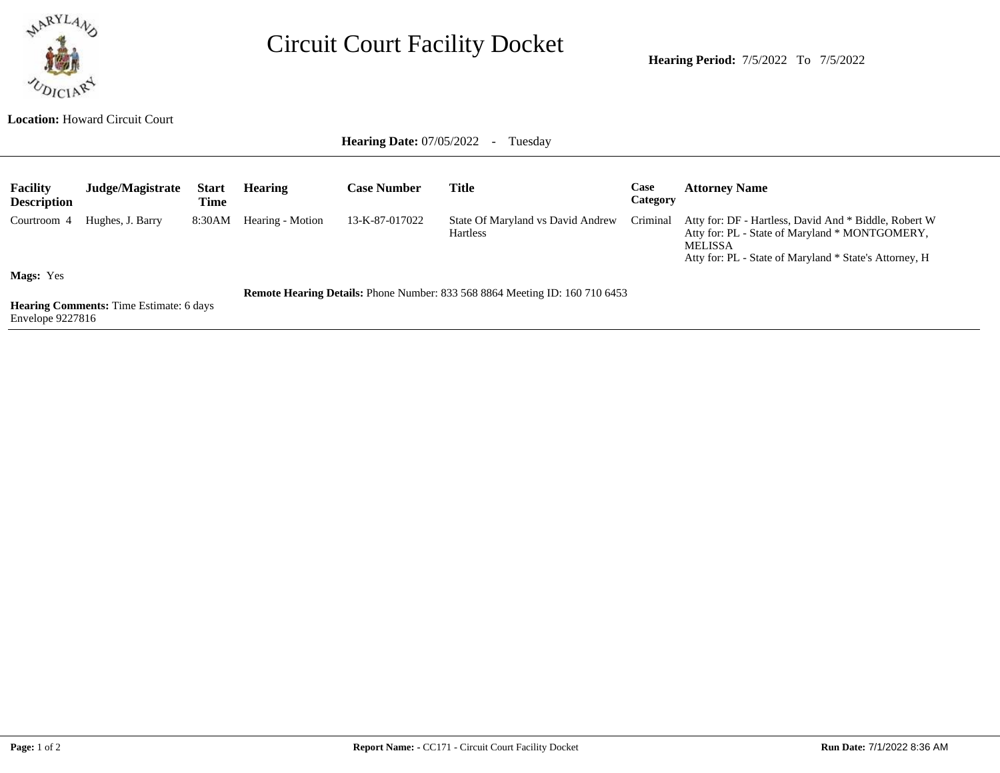

## Circuit Court Facility Docket

**Hearing Period:** 7/5/2022 To 7/5/2022

## **Location:** Howard Circuit Court

**Hearing Date: 07/05/2022 - Tuesday** 

| <b>Facility</b><br><b>Description</b> | Judge/Magistrate                               | <b>Start</b><br>Time | <b>Hearing</b>   | <b>Case Number</b> | <b>Title</b>                                                                       | Case<br>Category | <b>Attorney Name</b>                                                                                                                                                                |
|---------------------------------------|------------------------------------------------|----------------------|------------------|--------------------|------------------------------------------------------------------------------------|------------------|-------------------------------------------------------------------------------------------------------------------------------------------------------------------------------------|
| Courtroom 4                           | Hughes, J. Barry                               | 8:30AM               | Hearing - Motion | 13-K-87-017022     | State Of Maryland vs David Andrew<br><b>Hartless</b>                               | Criminal         | Atty for: DF - Hartless, David And * Biddle, Robert W<br>Atty for: PL - State of Maryland * MONTGOMERY,<br><b>MELISSA</b><br>Atty for: PL - State of Maryland * State's Attorney, H |
| <b>Mags:</b> Yes                      | <b>Hearing Comments:</b> Time Estimate: 6 days |                      |                  |                    | <b>Remote Hearing Details:</b> Phone Number: 833 568 8864 Meeting ID: 160 710 6453 |                  |                                                                                                                                                                                     |

Envelope 9227816